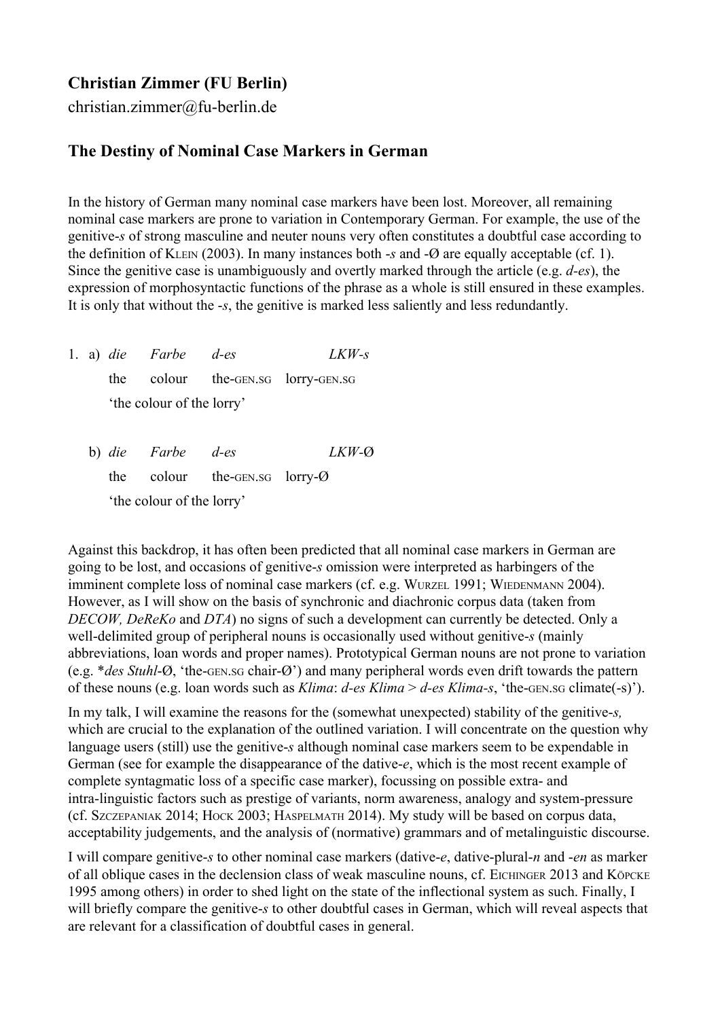## **Christian Zimmer (FU Berlin)**

christian.zimmer@fu-berlin.de

## **The Destiny of Nominal Case Markers in German**

In the history of German many nominal case markers have been lost. Moreover, all remaining nominal case markers are prone to variation in Contemporary German. For example, the use of the genitive*s* of strong masculine and neuter nouns very often constitutes a doubtful case according to the definition of KLEIN (2003). In many instances both  $-$ s and  $-$ Ø are equally acceptable (cf. 1). Since the genitive case is unambiguously and overtly marked through the article (e.g. *d-es*), the expression of morphosyntactic functions of the phrase as a whole is still ensured in these examples. It is only that without the *s*, the genitive is marked less saliently and less redundantly.

1. a) *die Farbe des LKWs* the colour the-GEN.SG lorry-GEN.SG 'the colour of the lorry'

b) *die Farbe d-es LKW-Q* the colour the-GEN.SG lorry- $\varnothing$ 'the colour of the lorry'

Against this backdrop, it has often been predicted that all nominal case markers in German are going to be lost, and occasions of genitive*s* omission were interpreted as harbingers of the imminent complete loss of nominal case markers (cf. e.g. WURZEL 1991; WIEDENMANN 2004). However, as I will show on the basis of synchronic and diachronic corpus data (taken from *DECOW, DeReKo* and *DTA*) no signs of such a development can currently be detected. Only a well-delimited group of peripheral nouns is occasionally used without genitive-s (mainly abbreviations, loan words and proper names). Prototypical German nouns are not prone to variation (e.g.  $*$ *des Stuhl-Ø*, 'the-GEN.sG chair-Ø') and many peripheral words even drift towards the pattern of these nouns (e.g. loan words such as *Klima*: *d-es Klima* > *d-es Klima-s*, 'the-GEN.SG climate(-s)').

In my talk, I will examine the reasons for the (somewhat unexpected) stability of the genitive*s,* which are crucial to the explanation of the outlined variation. I will concentrate on the question why language users (still) use the genitive*s* although nominal case markers seem to be expendable in German (see for example the disappearance of the dative*e*, which is the most recent example of complete syntagmatic loss of a specific case marker), focussing on possible extra- and intra-linguistic factors such as prestige of variants, norm awareness, analogy and system-pressure (cf. SZCZEPANIAK 2014; HOCK 2003; HASPELMATH 2014). My study will be based on corpus data, acceptability judgements, and the analysis of (normative) grammars and of metalinguistic discourse.

I will compare genitive-s to other nominal case markers (dative-e, dative-plural-n and *-en* as marker of all oblique cases in the declension class of weak masculine nouns, cf. EICHINGER 2013 and KÖPCKE 1995 among others) in order to shed light on the state of the inflectional system as such. Finally, I will briefly compare the genitive-s to other doubtful cases in German, which will reveal aspects that are relevant for a classification of doubtful cases in general.